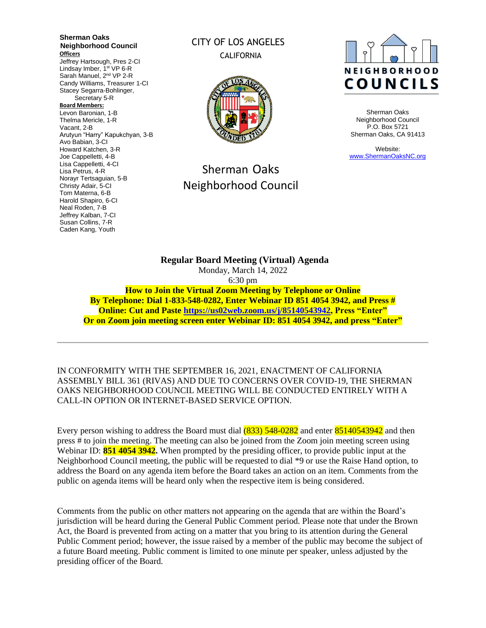**Sherman Oaks Neighborhood Council Officers** Jeffrey Hartsough, Pres 2-CI Lindsay Imber, 1<sup>st</sup> VP 6-R Sarah Manuel, 2<sup>nd</sup> VP 2-R Candy Williams, Treasurer 1-CI Stacey Segarra-Bohlinger, Secretary 5-R **Board Members:** Levon Baronian, 1-B Thelma Mericle, 1-R Vacant, 2-B Arutyun "Harry" Kapukchyan, 3-B Avo Babian, 3-CI Howard Katchen, 3-R Joe Cappelletti, 4-B Lisa Cappelletti, 4-CI Lisa Petrus, 4-R Norayr Tertsaguian, 5-B Christy Adair, 5-CI Tom Materna, 6-B Harold Shapiro, 6-CI Neal Roden, 7-B Jeffrey Kalban, 7-CI Susan Collins, 7-R Caden Kang, Youth

## CITY OF LOS ANGELES CALIFORNIA



# Sherman Oaks Neighborhood Council



Sherman Oaks Neighborhood Council P.O. Box 5721 Sherman Oaks, CA 91413

Website: [www.ShermanOaksNC.org](http://www.shermanoaksnc.org/)

**Regular Board Meeting (Virtual) Agenda**  Monday, March 14, 2022 6:30 pm **How to Join the Virtual Zoom Meeting by Telephone or Online By Telephone: Dial 1-833-548-0282, Enter Webinar ID 851 4054 3942, and Press # Online: Cut and Paste [https://us02web.zoom.us/j/85140543942,](https://us02web.zoom.us/j/85140543942) Press "Enter" Or on Zoom join meeting screen enter Webinar ID: 851 4054 3942, and press "Enter"**

IN CONFORMITY WITH THE SEPTEMBER 16, 2021, ENACTMENT OF CALIFORNIA ASSEMBLY BILL 361 (RIVAS) AND DUE TO CONCERNS OVER COVID-19, THE SHERMAN OAKS NEIGHBORHOOD COUNCIL MEETING WILL BE CONDUCTED ENTIRELY WITH A CALL-IN OPTION OR INTERNET-BASED SERVICE OPTION.

Every person wishing to address the Board must dial  $(833)$  548-0282 and enter 85140543942 and then press # to join the meeting. The meeting can also be joined from the Zoom join meeting screen using Webinar ID: **851 4054 3942.** When prompted by the presiding officer, to provide public input at the Neighborhood Council meeting, the public will be requested to dial \*9 or use the Raise Hand option, to address the Board on any agenda item before the Board takes an action on an item. Comments from the public on agenda items will be heard only when the respective item is being considered.

Comments from the public on other matters not appearing on the agenda that are within the Board's jurisdiction will be heard during the General Public Comment period. Please note that under the Brown Act, the Board is prevented from acting on a matter that you bring to its attention during the General Public Comment period; however, the issue raised by a member of the public may become the subject of a future Board meeting. Public comment is limited to one minute per speaker, unless adjusted by the presiding officer of the Board.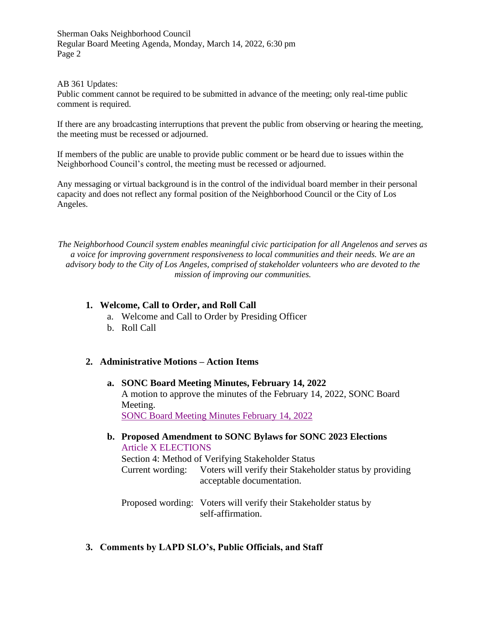#### AB 361 Updates:

Public comment cannot be required to be submitted in advance of the meeting; only real-time public comment is required.

If there are any broadcasting interruptions that prevent the public from observing or hearing the meeting, the meeting must be recessed or adjourned.

If members of the public are unable to provide public comment or be heard due to issues within the Neighborhood Council's control, the meeting must be recessed or adjourned.

Any messaging or virtual background is in the control of the individual board member in their personal capacity and does not reflect any formal position of the Neighborhood Council or the City of Los Angeles.

*The Neighborhood Council system enables meaningful civic participation for all Angelenos and serves as a voice for improving government responsiveness to local communities and their needs. We are an advisory body to the City of Los Angeles, comprised of stakeholder volunteers who are devoted to the mission of improving our communities.*

#### **1. Welcome, Call to Order, and Roll Call**

- a. Welcome and Call to Order by Presiding Officer
- b. Roll Call

### **2. Administrative Motions – Action Items**

**a. SONC Board Meeting Minutes, February 14, 2022** A motion to approve the minutes of the February 14, 2022, SONC Board Meeting. [SONC Board Meeting Minutes February 14, 2022](https://www.shermanoaksnc.org/ncfiles/viewCommitteeFile/28966)

**b. Proposed Amendment to SONC Bylaws for SONC 2023 Elections** Article X [ELECTIONS](https://www.shermanoaksnc.org/ncfiles/viewCommitteeFile/28977) Section 4: Method of Verifying Stakeholder Status Current wording: Voters will verify their Stakeholder status by providing acceptable documentation.

Proposed wording: Voters will verify their Stakeholder status by self-affirmation.

**3. Comments by LAPD SLO's, Public Officials, and Staff**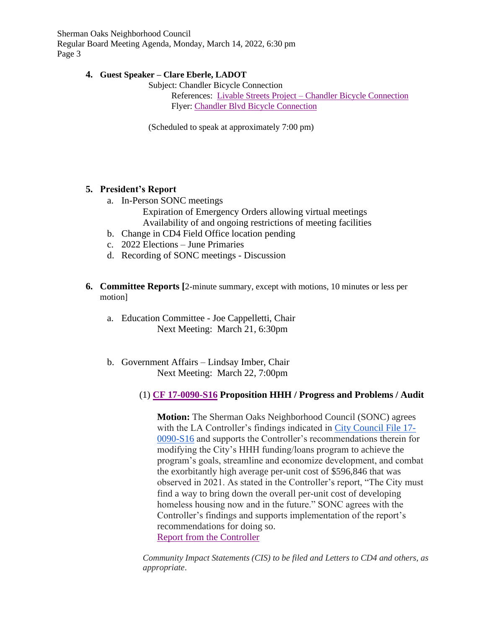## **4. Guest Speaker – Clare Eberle, LADOT**

Subject: Chandler Bicycle Connection

References: Livable Streets Project – [Chandler Bicycle Connection](https://ladotlivablestreets.org/projects/Chandler-Bicycle-Connection) Flyer: [Chandler Blvd Bicycle](https://www.shermanoaksnc.org/ncfiles/viewCommitteeFile/28965) Connection

(Scheduled to speak at approximately 7:00 pm)

## **5. President's Report**

- a. In-Person SONC meetings Expiration of Emergency Orders allowing virtual meetings
	- Availability of and ongoing restrictions of meeting facilities
- b. Change in CD4 Field Office location pending
- c. 2022 Elections June Primaries
- d. Recording of SONC meetings Discussion
- **6. Committee Reports [**2-minute summary, except with motions, 10 minutes or less per motion]
	- a. Education Committee Joe Cappelletti, Chair Next Meeting: March 21, 6:30pm
	- b. Government Affairs Lindsay Imber, Chair Next Meeting: March 22, 7:00pm

## (1) **CF [17-0090-S16](https://cityclerk.lacity.org/lacityclerkconnect/index.cfm?fa=ccfi.viewrecord&cfnumber=17-0090-S16) Proposition HHH / Progress and Problems / Audit**

**Motion:** The Sherman Oaks Neighborhood Council (SONC) agrees with the LA Controller's findings indicated in [City Council File 17-](https://cityclerk.lacity.org/lacityclerkconnect/index.cfm?fa=ccfi.viewrecord&cfnumber=17-0090-S16) [0090-S16](https://cityclerk.lacity.org/lacityclerkconnect/index.cfm?fa=ccfi.viewrecord&cfnumber=17-0090-S16) and supports the Controller's recommendations therein for modifying the City's HHH funding/loans program to achieve the program's goals, streamline and economize development, and combat the exorbitantly high average per-unit cost of \$596,846 that was observed in 2021. As stated in the Controller's report, "The City must find a way to bring down the overall per-unit cost of developing homeless housing now and in the future." SONC agrees with the Controller's findings and supports implementation of the report's recommendations for doing so. [Report from the Controller](https://www.shermanoaksnc.org/ncfiles/viewCommitteeFile/28978)

*Community Impact Statements (CIS) to be filed and Letters to CD4 and others, as appropriate*.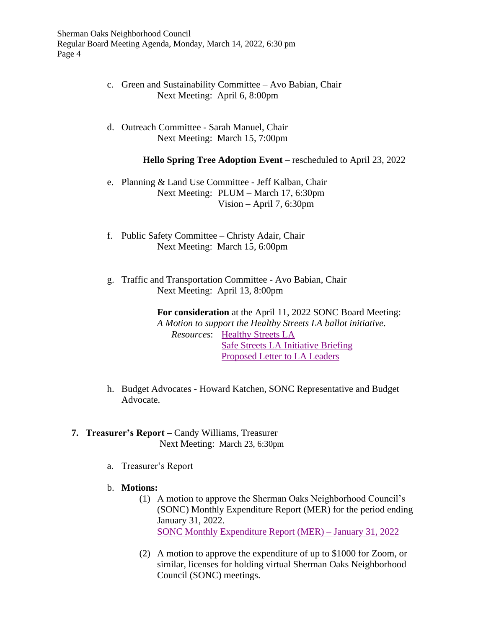- c. Green and Sustainability Committee Avo Babian, Chair Next Meeting: April 6, 8:00pm
- d. Outreach Committee Sarah Manuel, Chair Next Meeting: March 15, 7:00pm

**Hello Spring Tree Adoption Event** – rescheduled to April 23, 2022

- e. Planning & Land Use Committee Jeff Kalban, Chair Next Meeting: PLUM – March 17, 6:30pm Vision – April 7, 6:30pm
- f. Public Safety Committee Christy Adair, Chair Next Meeting: March 15, 6:00pm
- g. Traffic and Transportation Committee Avo Babian, Chair Next Meeting: April 13, 8:00pm

**For consideration** at the April 11, 2022 SONC Board Meeting: *A Motion to support the Healthy Streets LA ballot initiative*. *Resources*: [Healthy Streets LA](https://www.healthystreetsla.com/) [Safe Streets LA Initiative Briefing](https://www.shermanoaksnc.org/ncfiles/viewCommitteeFile/28975) [Proposed Letter to LA Leaders](https://www.shermanoaksnc.org/ncfiles/viewCommitteeFile/28976)

- h. Budget Advocates Howard Katchen, SONC Representative and Budget Advocate.
- **7. Treasurer's Report –** Candy Williams, Treasurer Next Meeting: March 23, 6:30pm
	- a. Treasurer's Report
	- b. **Motions:**
		- (1) A motion to approve the Sherman Oaks Neighborhood Council's (SONC) Monthly Expenditure Report (MER) for the period ending January 31, 2022. [SONC Monthly Expenditure Report](https://www.shermanoaksnc.org/ncfiles/viewCommitteeFile/28958) (MER) – January 31, 2022
		- (2) A motion to approve the expenditure of up to \$1000 for Zoom, or similar, licenses for holding virtual Sherman Oaks Neighborhood Council (SONC) meetings.